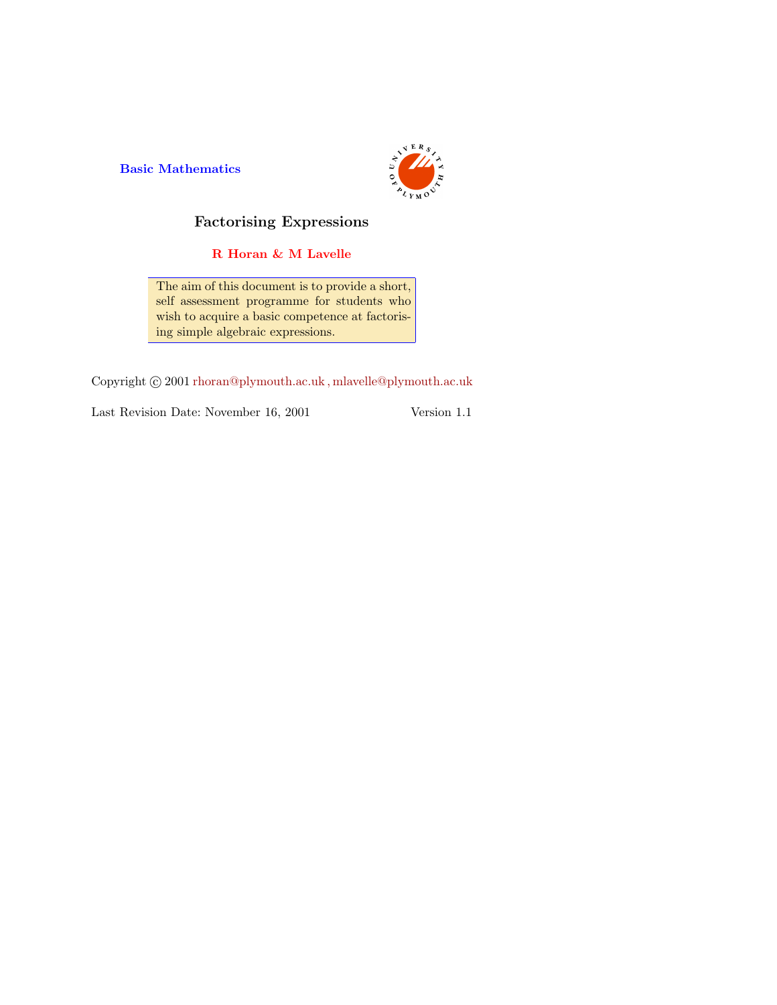Basic Mathematics



## Factorising Expressions

R Horan & M Lavelle

The aim of this document is to provide a short, self assessment programme for students who wish to acquire a basic competence at factorising simple algebraic expressions.

Copyright  $\odot$  2001 rhoran@plymouth.ac.uk, mlavelle@plymouth.ac.uk

Last Revision Date: November 16, 2001 Version 1.1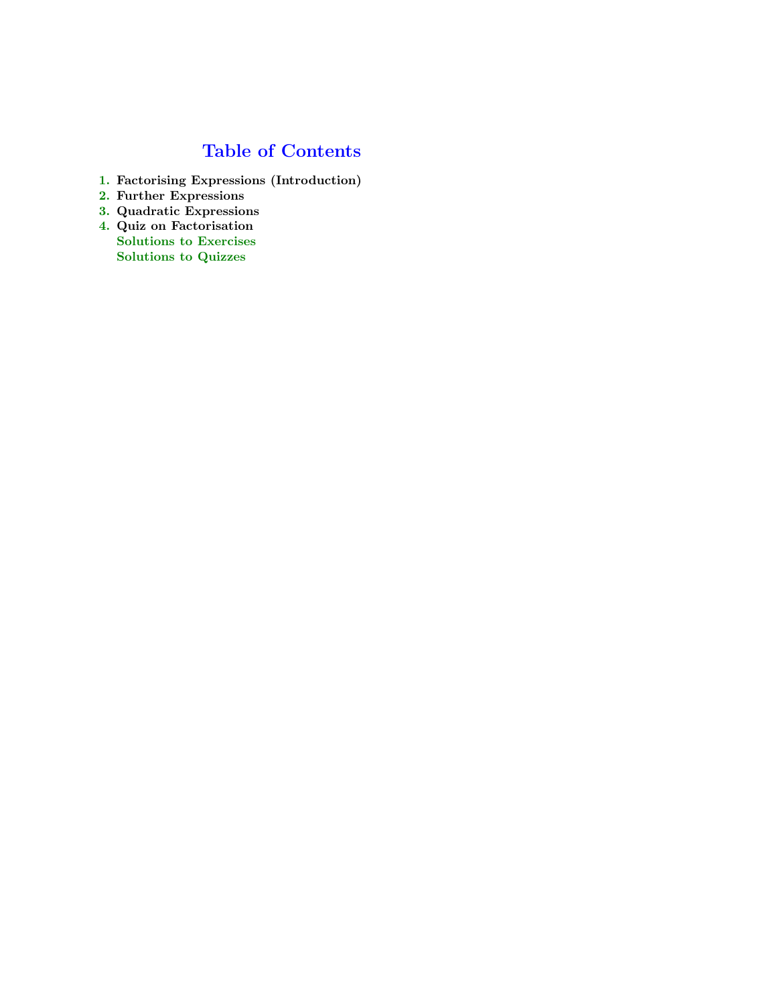## Table of Contents

- 1. Factorising Expressions (Introduction)
- 2. Further Expressions
- 3. Quadratic Expressions
- 4. Quiz on Factorisation Solutions to Exercises Solutions to Quizzes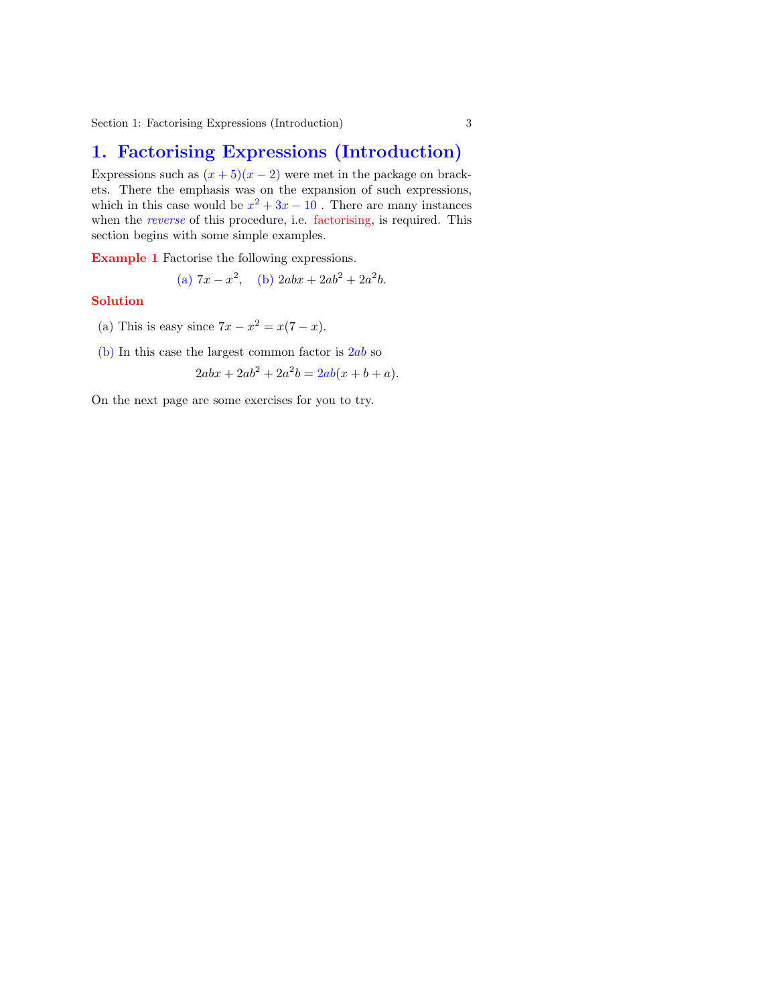## 1. Factorising Expressions (Introduction)

Expressions such as  $(x+5)(x-2)$  were met in the package on brackets. There the emphasis was on the expansion of such expressions, which in this case would be  $x^2 + 3x - 10$ . There are many instances when the *reverse* of this procedure, i.e. factorising, is required. This section begins with some simple examples.

Example 1 Factorise the following expressions.

(a) 
$$
7x - x^2
$$
, (b)  $2abx + 2ab^2 + 2a^2b$ .

#### Solution

(a) This is easy since  $7x - x^2 = x(7 - x)$ .

(b) In this case the largest common factor is  $2ab$  so

$$
2abx + 2ab^2 + 2a^2b = 2ab(x + b + a).
$$

On the next page are some exercises for you to try.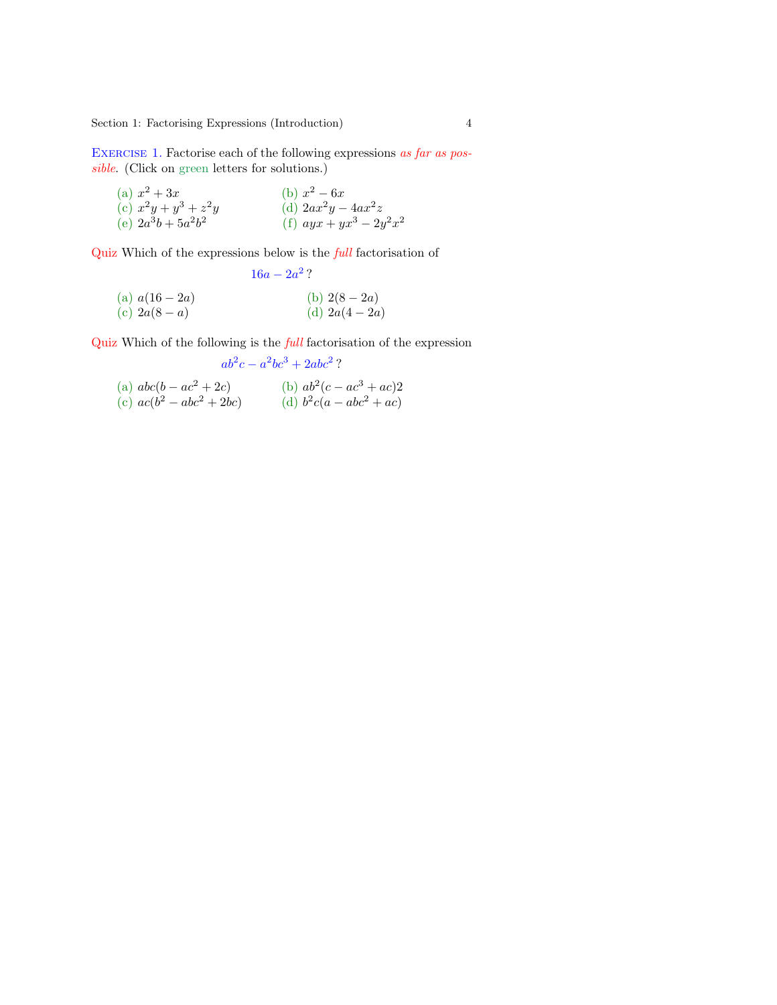<span id="page-3-0"></span>Section 1: Factorising [Expre](#page-15-0)ssions (Introduction) 4

EXERCISE 1. Factorise each of the following expressions as far as possible. (Click on green letters for solutions.)

(a) 
$$
x^2 + 3x
$$
  
\n(b)  $x^2 - 6x$   
\n(c)  $x^2y + y^3 + z^2y$   
\n(d)  $2ax^2y - 4ax^2z$   
\n(e)  $2a^3b + 5a^2b^2$   
\n(f)  $ayx + yx^3 - 2y^2x^2$ 

Quiz Which of the expressions below is the full factorisation of

(a) 
$$
a(16-2a)
$$
  
\n(b)  $2(8-2a)$   
\n(c)  $2a(8-a)$   
\n(d)  $2a(4-2a)$ 

Quiz Which of the following is the full factorisation of the expression

$$
ab^2c - a^2bc^3 + 2abc^2?
$$

(a) 
$$
abc(b - ac^2 + 2c)
$$
  
\n(b)  $ab^2(c - ac^3 + ac)^2$   
\n(c)  $ac(b^2 - abc^2 + 2bc)$   
\n(d)  $b^2c(a - abc^2 + ac)$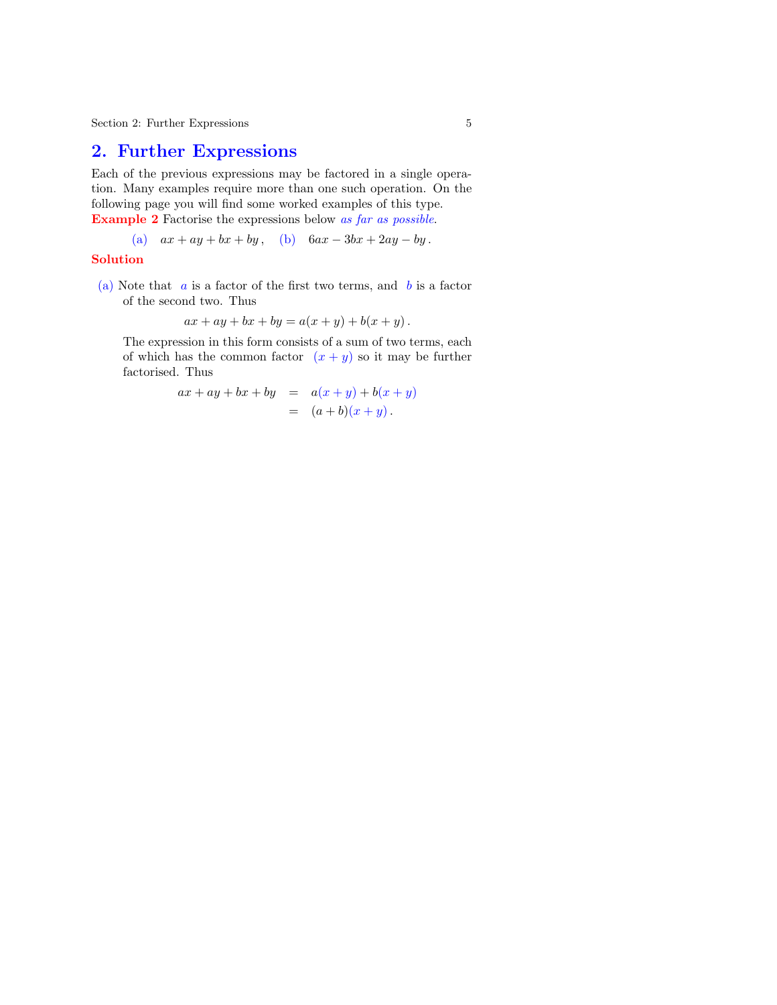## 2. Further Expressions

Each of the previous expressions may be factored in a single operation. Many examples require more than one such operation. On the following page you will find some worked examples of this type. Example 2 Factorise the expressions below as far as possible.

(a) 
$$
ax + ay + bx + by
$$
, \n(b)  $6ax - 3bx + 2ay - by$ .

#### Solution

(a) Note that  $\alpha$  is a factor of the first two terms, and  $\beta$  is a factor of the second two. Thus

$$
ax + ay + bx + by = a(x + y) + b(x + y).
$$

The expression in this form consists of a sum of two terms, each of which has the common factor  $(x + y)$  so it may be further factorised. Thus

$$
ax + ay + bx + by = a(x + y) + b(x + y)
$$
  
=  $(a+b)(x + y)$ .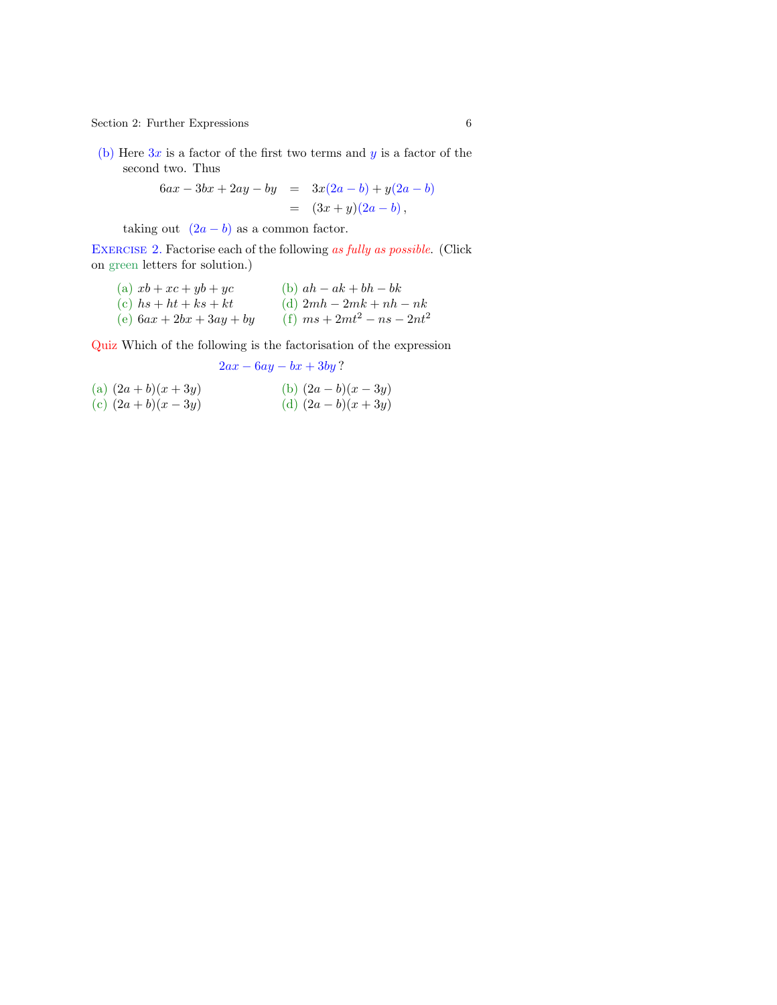<span id="page-5-0"></span> $\begin{tabular}{ll} Section 2: Further Expressions \end{tabular} \hspace{2cm} \begin{tabular}{ll} \hspace{-0.1cm} \begin{tabular}{ll} \multicolumn{2}{l}{} & \multicolumn{2}{l}{} & \multicolumn{2}{l}{} \\ \multicolumn{2}{l}{} & \multicolumn{2}{l}{} \\ \multicolumn{2}{l}{} & \multicolumn{2}{l}{} \\ \multicolumn{2}{l}{} & \multicolumn{2}{l}{} \\ \multicolumn{2}{l}{} & \multicolumn{2}{l}{} \\ \multicolumn{2}{l}{} & \multicolumn{2}{l}{} \\ \multicolumn{2}{l}{} & \multicolumn{2}{l}{} \\ \mult$ 

(b) Here  $3x$  is a factor of the first two terms and  $y$  is a factor of the second two. Th[us](#page-17-0)

$$
6ax - 3bx + 2ay - by = 3x(2a - b) + y(2a - b)
$$
  
=  $(3x + y)(2a - b)$ ,

taking out  $(2a - b)$  as a common factor.

EXERCISE 2. Factorise each of the following as fully as possible. (Click on green letters for solution.)

| (a) $xb + xc + yb + yc$    | (b) $ah - ak + bh - bk$       |
|----------------------------|-------------------------------|
| (c) $hs + ht + ks + kt$    | (d) $2mh - 2mk + nh - nk$     |
| (e) $6ax + 2bx + 3ay + by$ | (f) $ms + 2mt^2 - ns - 2nt^2$ |

Quiz Which of the following is the factorisation of the expression

$$
2ax - 6ay - bx + 3by?
$$

(a) 
$$
(2a + b)(x + 3y)
$$
  
\n(b)  $(2a - b)(x - 3y)$   
\n(c)  $(2a + b)(x - 3y)$   
\n(d)  $(2a - b)(x + 3y)$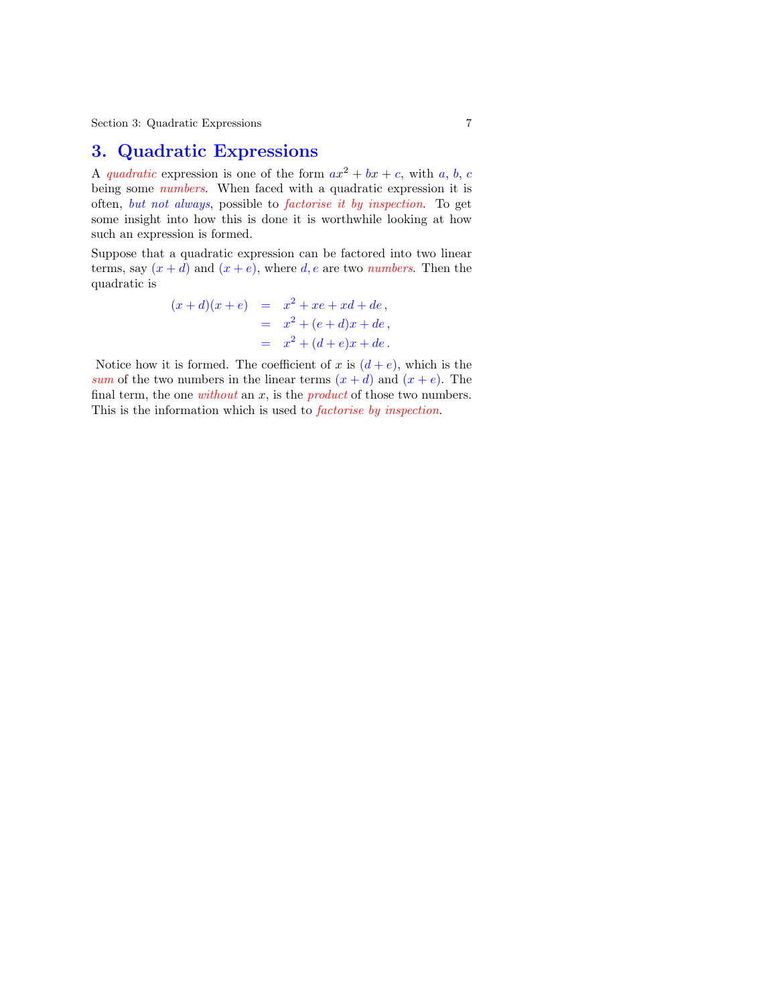## 3. Quadratic Expressions

A quadratic expression is one of the form  $ax^2 + bx + c$ , with a, b, c being some *numbers*. When faced with a quadratic expression it is often, but not always, possible to factorise it by inspection. To get some insight into how this is done it is worthwhile looking at how such an expression is formed.

Suppose that a quadratic expression can be factored into two linear terms, say  $(x + d)$  and  $(x + e)$ , where d, e are two numbers. Then the quadratic is

$$
(x+d)(x+e) = x2 + xe + xd + de,
$$
  
= x<sup>2</sup> + (e+d)x + de,  
= x<sup>2</sup> + (d+e)x + de.

Notice how it is formed. The coefficient of x is  $(d+e)$ , which is the sum of the two numbers in the linear terms  $(x + d)$  and  $(x + e)$ . The final term, the one *without* an  $x$ , is the *product* of those two numbers. This is the information which is used to *factorise by inspection*.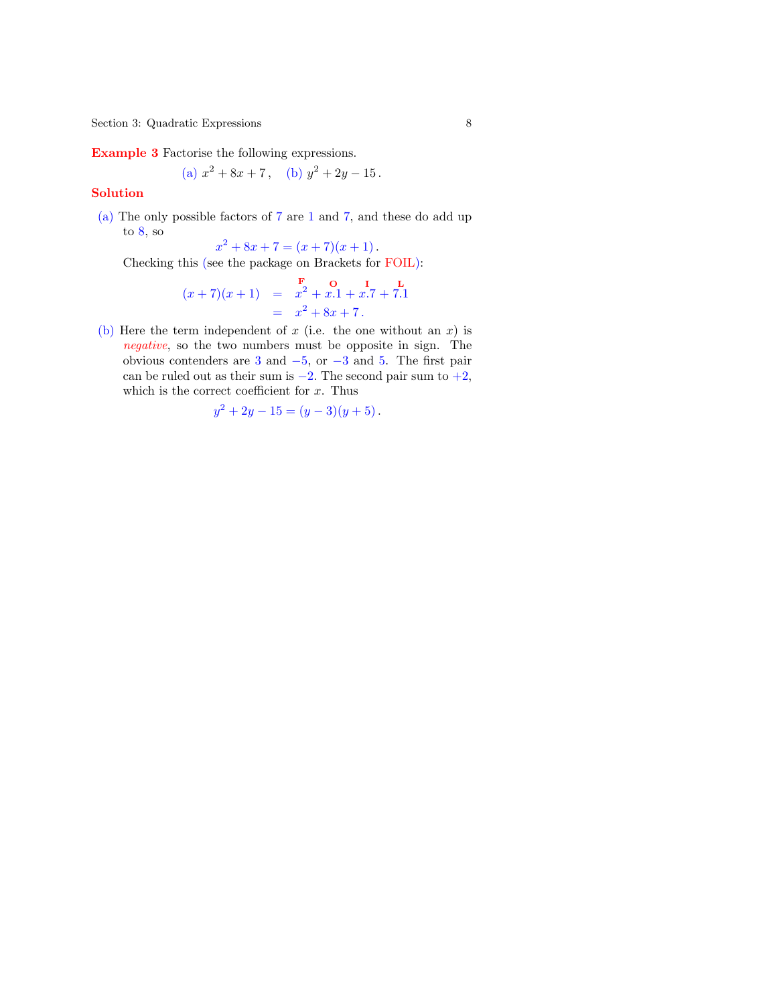Section 3: Quadratic Expressions 8

Example 3 Factorise the following expressions.

(a) 
$$
x^2 + 8x + 7
$$
, (b)  $y^2 + 2y - 15$ .

#### Solution

(a) The only possible factors of 7 are 1 and 7, and these do add up to  $8$ , so

 $x^2 + 8x + 7 = (x + 7)(x + 1)$ .

Checking this (see the package on Brackets for FOIL):

$$
(x+7)(x+1) = \begin{array}{r} \n\mathbf{F} & \mathbf{O} & \mathbf{I} & \mathbf{L} \\
x^2 + x.1 + x.7 + 7.1 & \quad = \quad x^2 + 8x + 7.\n\end{array}
$$

(b) Here the term independent of x (i.e. the one without an x) is negative, so the two numbers must be opposite in sign. The obvious contenders are 3 and  $-5$ , or  $-3$  and 5. The first pair can be ruled out as their sum is  $-2$ . The second pair sum to  $+2$ , which is the correct coefficient for  $x$ . Thus

$$
y^2 + 2y - 15 = (y - 3)(y + 5).
$$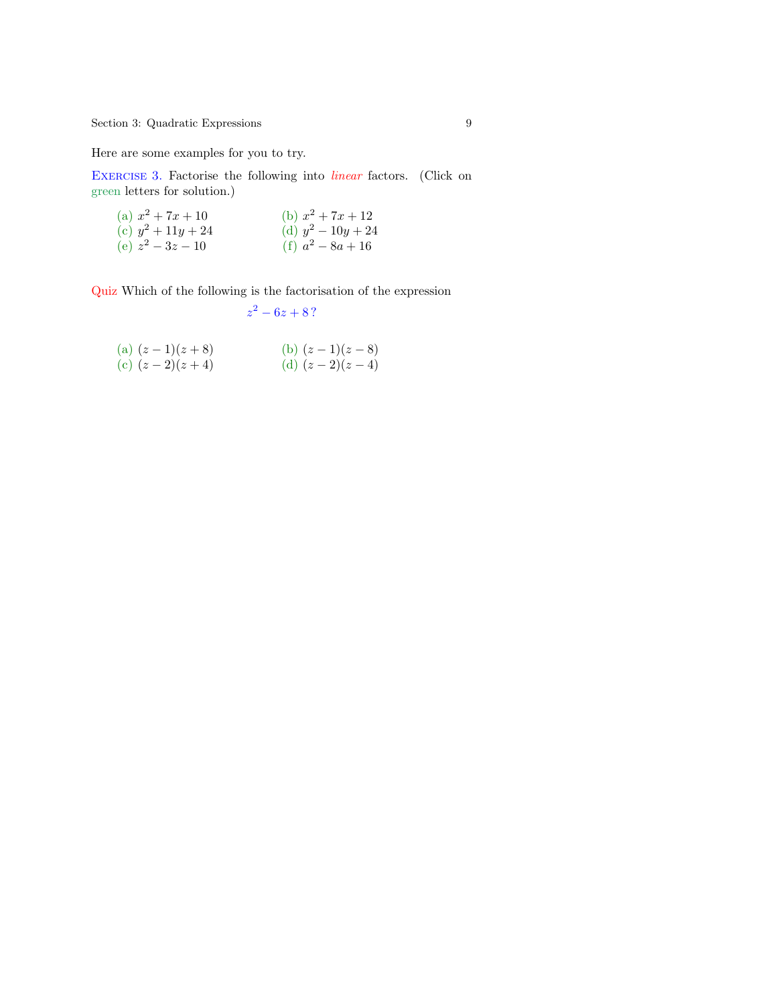<span id="page-8-0"></span>Section 3: Quadratic E[xpre](#page-25-0)ssions 9

Here are some examples for you to try.

EXERCISE 3. Factorise the following into *linear* factors. (Click on green letters for solution.)

| (a) $x^2 + 7x + 10$  | (b) $x^2 + 7x + 12$  |
|----------------------|----------------------|
| (c) $y^2 + 11y + 24$ | (d) $y^2 - 10y + 24$ |
| (e) $z^2 - 3z - 10$  | (f) $a^2 - 8a + 16$  |

Quiz Which of the following is the factorisation of the expression

$$
z^2-6z+8?
$$

(a) 
$$
(z-1)(z+8)
$$
  
\n(b)  $(z-1)(z-8)$   
\n(c)  $(z-2)(z+4)$   
\n(d)  $(z-2)(z-4)$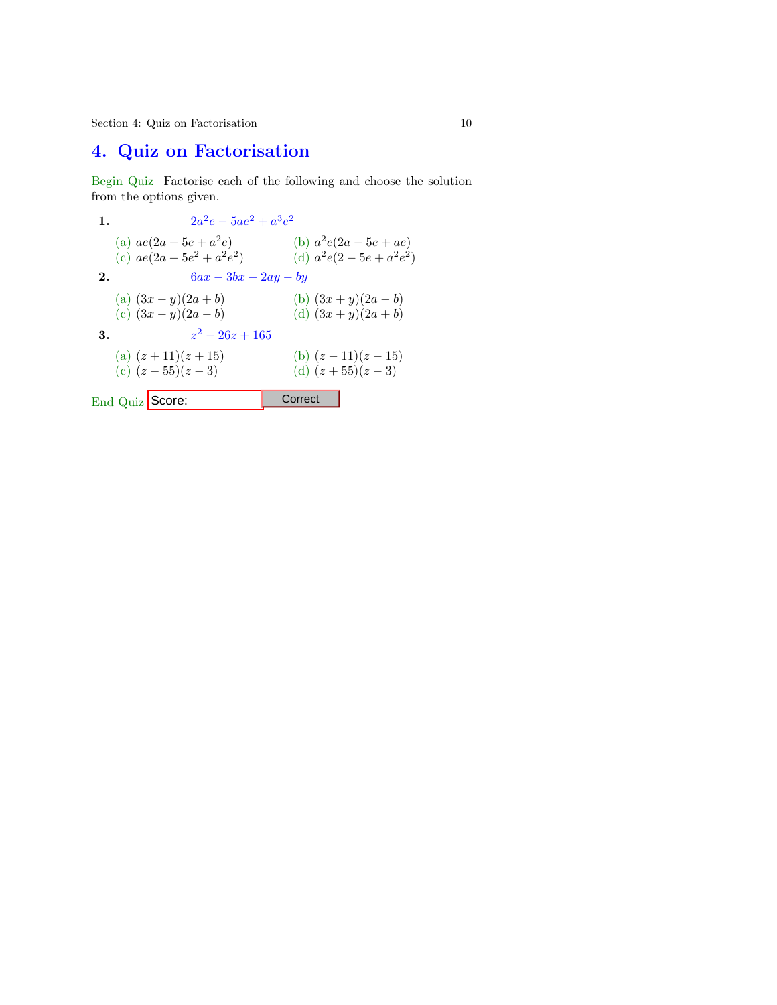Section 4: Quiz on Factorisation 10

# 4. Quiz on Factorisation

Begin Quiz Factorise each of the following and choose the solution from the options given.

1.  $2a^2e - 5ae^2 + a^3e^2$ (a)  $ae(2a - 5e + a^2)$ (b)  $a^2e(2a - 5e + ae)$ (c)  $ae(2a - 5e^2 + a^2e^2)$ (d)  $a^2e(2-5e+a^2e^2)$ 2.  $6ax - 3bx + 2ay - by$ (a)  $(3x - y)(2a + b)$ <br>
(b)  $(3x + y)(2a - b)$ <br>
(d)  $(3x + y)(2a + b)$ <br>
(d)  $(3x + y)(2a + b)$ (d)  $(3x + y)(2a + b)$ 3.  $z^2 - 26z + 165$ (a)  $(z + 11)(z + 15)$ <br>
(b)  $(z - 11)(z - 15)$ <br>
(c)  $(z - 55)(z - 3)$ <br>
(d)  $(z + 55)(z - 3)$ (d)  $(z + 55)(z - 3)$ End Quiz Score: Correct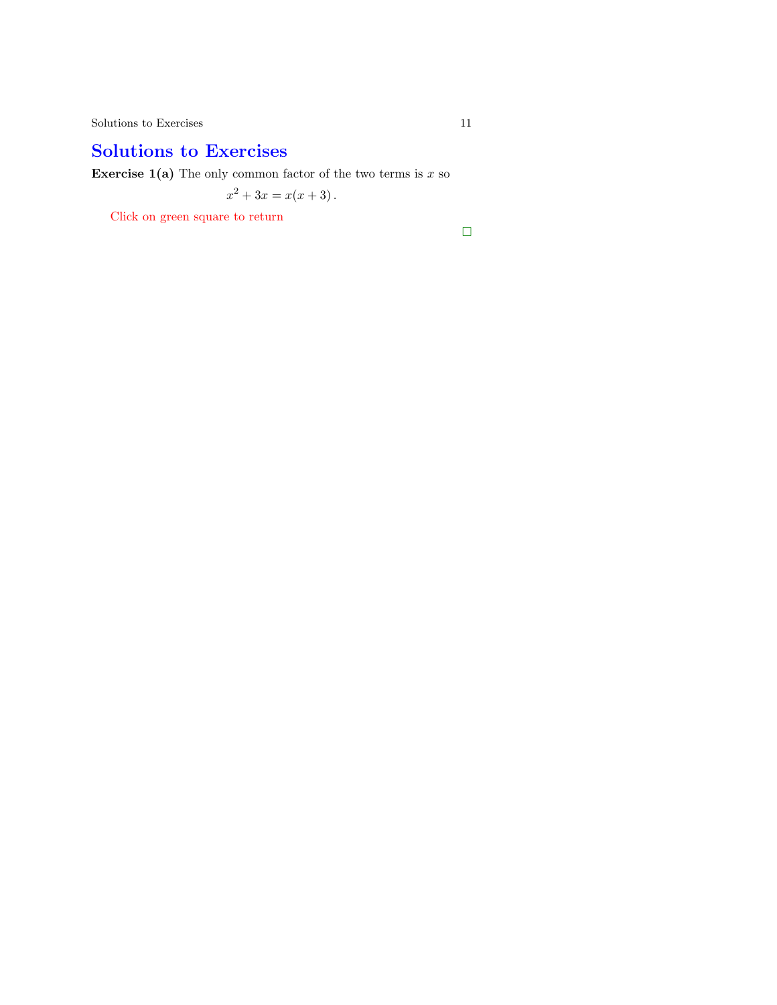## Solutions to Exercises

**Exercise 1(a)** The only common factor of the two terms is  $x$  so

$$
x^2 + 3x = x(x+3).
$$

Click on green square to return

 $\Box$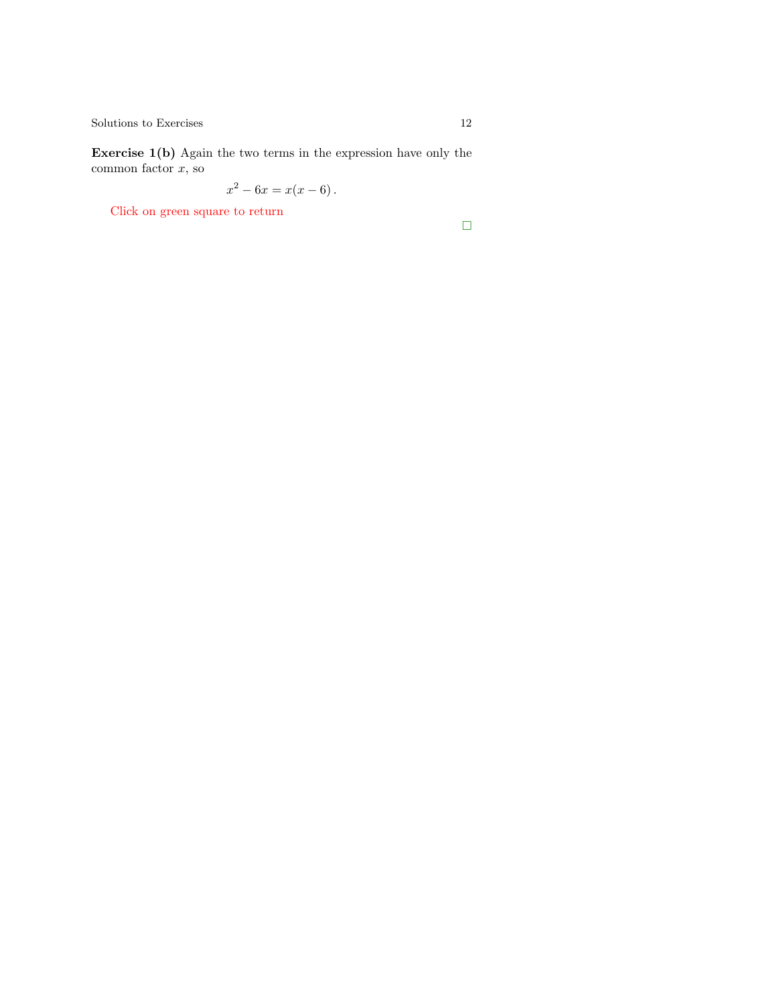Exercise 1(b) Again the two terms in the expression have only the common factor  $x$ , so

$$
x^2 - 6x = x(x - 6).
$$

Click on green square to return

 $\Box$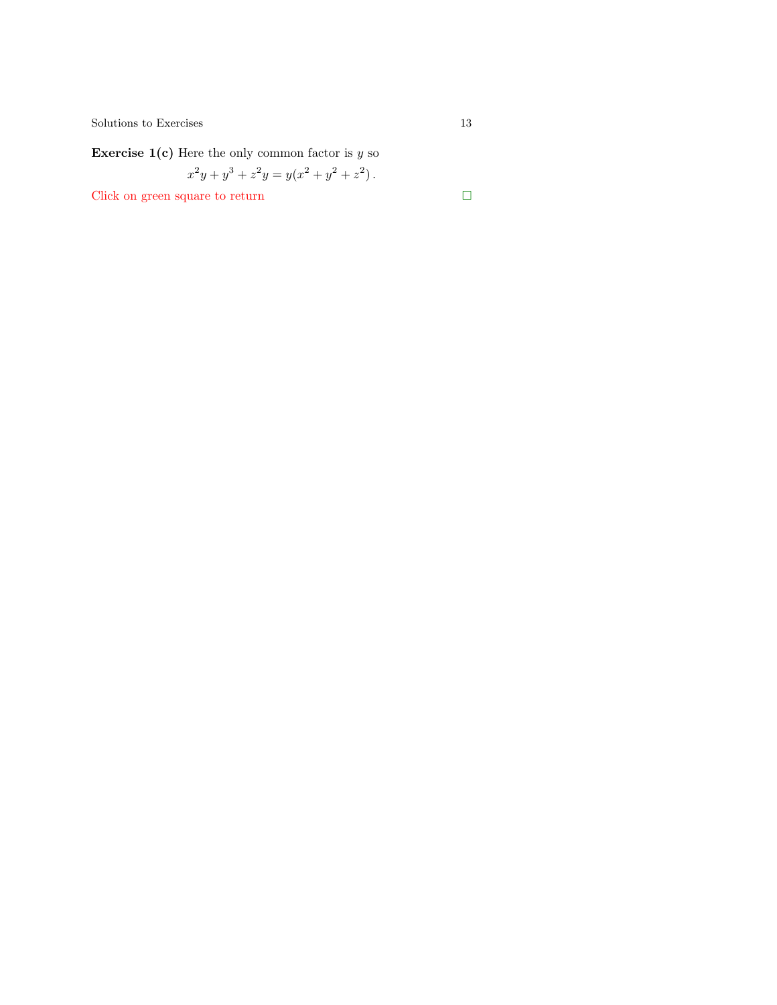$\begin{tabular}{c} Solutions to Exercises \\ \end{tabular} \begin{tabular}{c} \textbf{13} \\ \textbf{24} \\ \textbf{35} \\ \textbf{46} \\ \textbf{57} \\ \textbf{68} \\ \textbf{78} \\ \textbf{89} \\ \textbf{100} \\ \textbf{113} \\ \textbf{120} \\ \textbf{131} \\ \textbf{141} \\ \textbf{151} \\ \textbf{161} \\ \textbf{182} \\ \textbf{193} \\ \textbf{199} \\ \textbf{190} \\ \textbf{100} \\ \textbf{101} \\ \textbf{113} \\ \textbf{$ 

**Exercise 1(c)** Here the only common factor is  $y$  so

$$
x^2y + y^3 + z^2y = y(x^2 + y^2 + z^2).
$$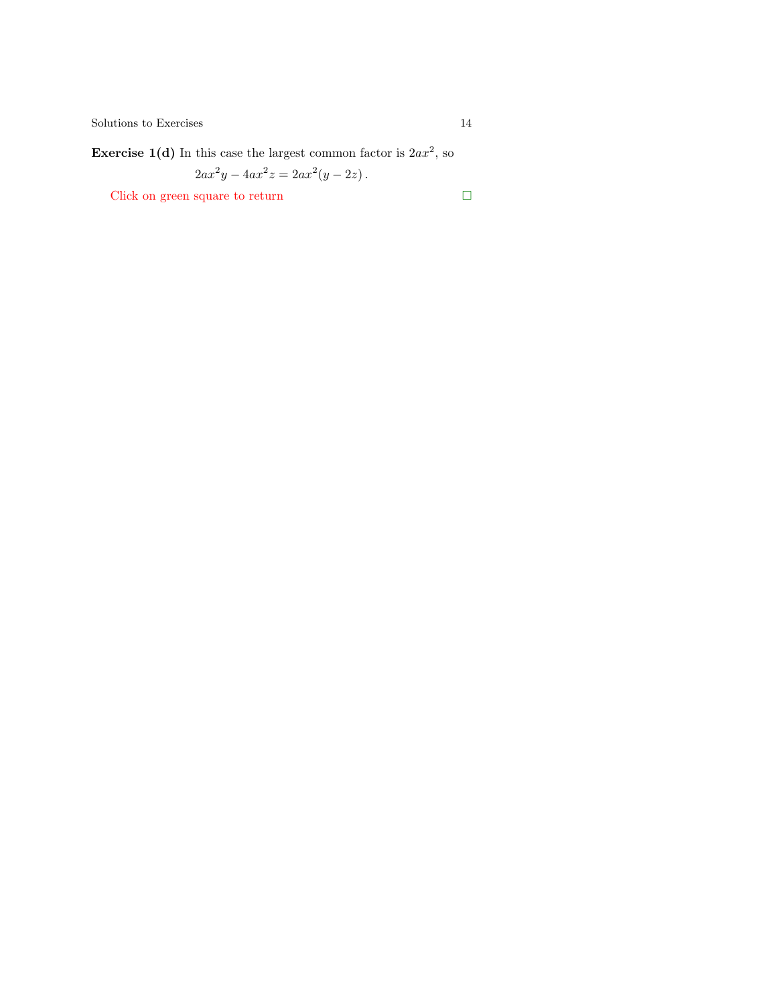**Exercise 1(d)** In this case the largest common factor is  $2ax^2$ , so

$$
2ax^2y - 4ax^2z = 2ax^2(y - 2z).
$$

Click on green square to return

$$
\qquad \qquad \Box
$$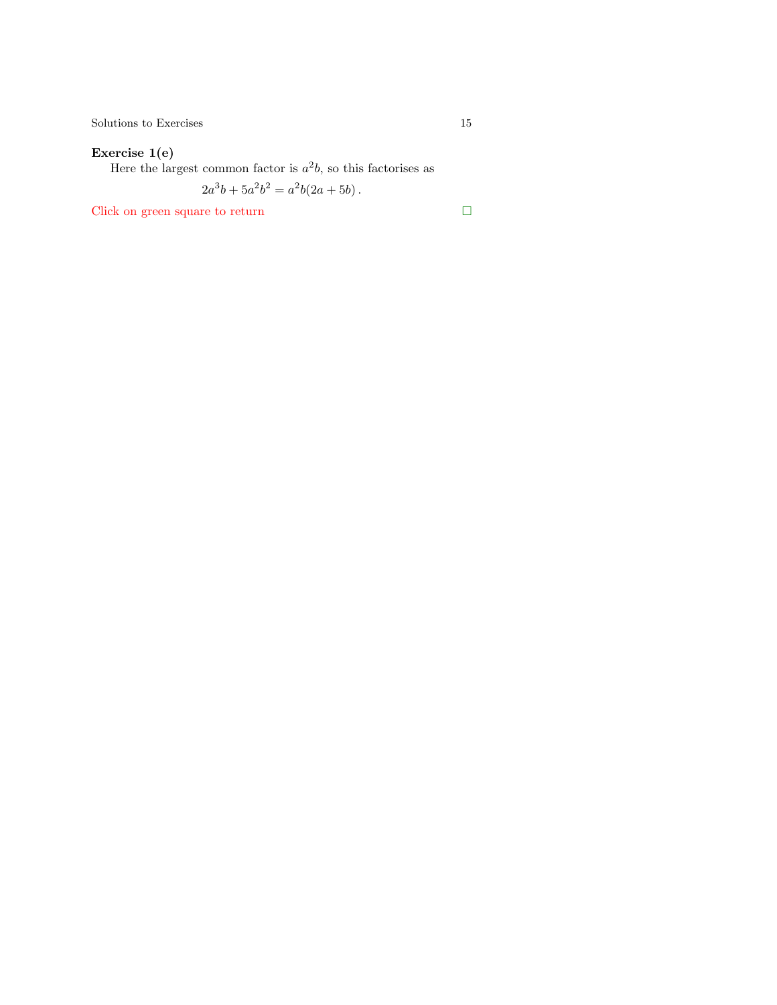$\begin{tabular}{c} Solutions to Exercises \\ \end{tabular} \begin{tabular}{c} \textbf{5} & \textbf{15} \\ \textbf{15} & \textbf{16} \\ \end{tabular}$ 

#### Exercise 1(e)

Here the largest common factor is  $a^2b$ , so this factorises as

 $2a^3b + 5a^2b^2 = a^2b(2a + 5b)$ .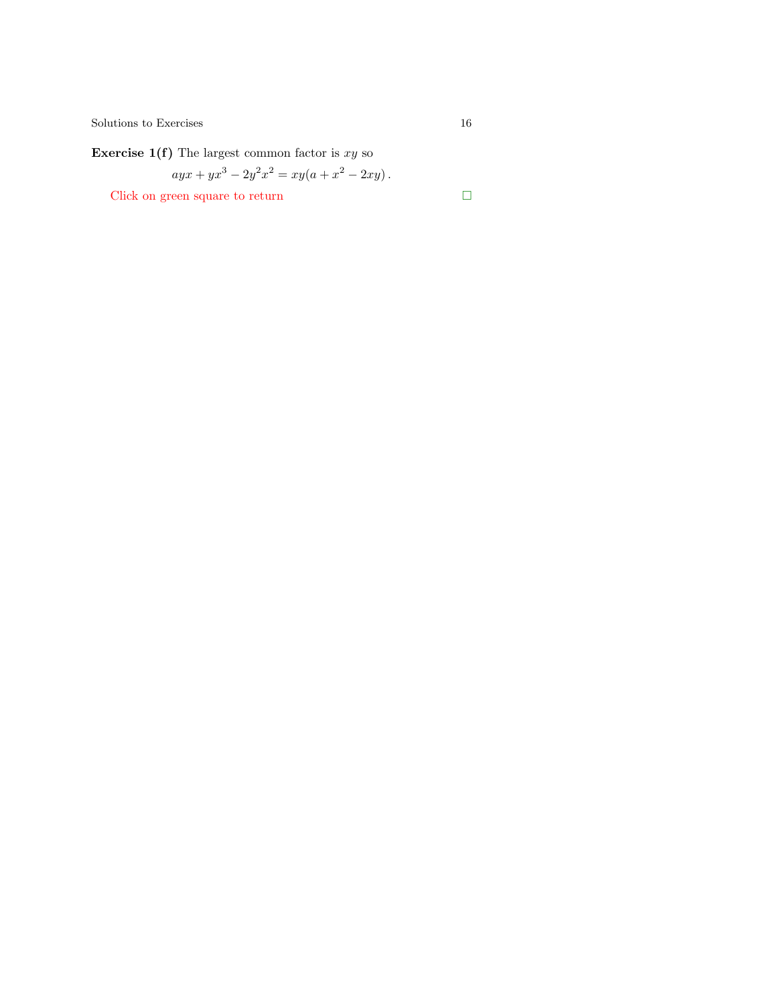<span id="page-15-0"></span> $\begin{tabular}{c} Solutions to Exercises \\ & \end{tabular}$ 

**Exercise 1(f)** The largest common factor is  $xy$  so

$$
ayx + yx^3 - 2y^2x^2 = xy(a + x^2 - 2xy).
$$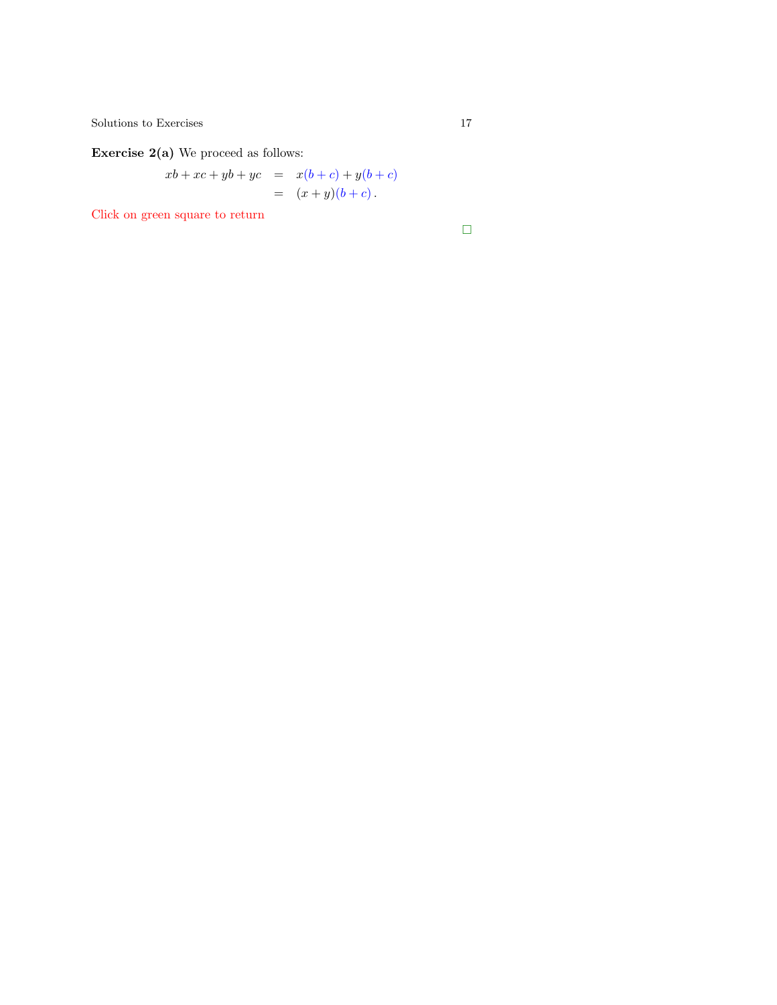$\begin{tabular}{c} Solutions to Exercises \\ \end{tabular} \begin{tabular}{c} \textbf{17} \\ \textbf{21} \\ \textbf{32} \\ \textbf{43} \\ \textbf{54} \\ \textbf{65} \\ \textbf{76} \\ \textbf{87} \\ \textbf{98} \\ \textbf{108} \\ \textbf{117} \\ \textbf{129} \\ \textbf{130} \\ \textbf{140} \\ \textbf{150} \\ \textbf{160} \\ \textbf{17} \\ \textbf{180} \\ \textbf{190} \\ \textbf{190} \\ \textbf{190} \\ \textbf{100} \\ \textbf{10$ 

Exercise 2(a) We proceed as follows:

$$
xb + xc + yb + yc = x(b + c) + y(b + c)
$$
  
=  $(x + y)(b + c)$ .

Click on green square to return

 $\Box$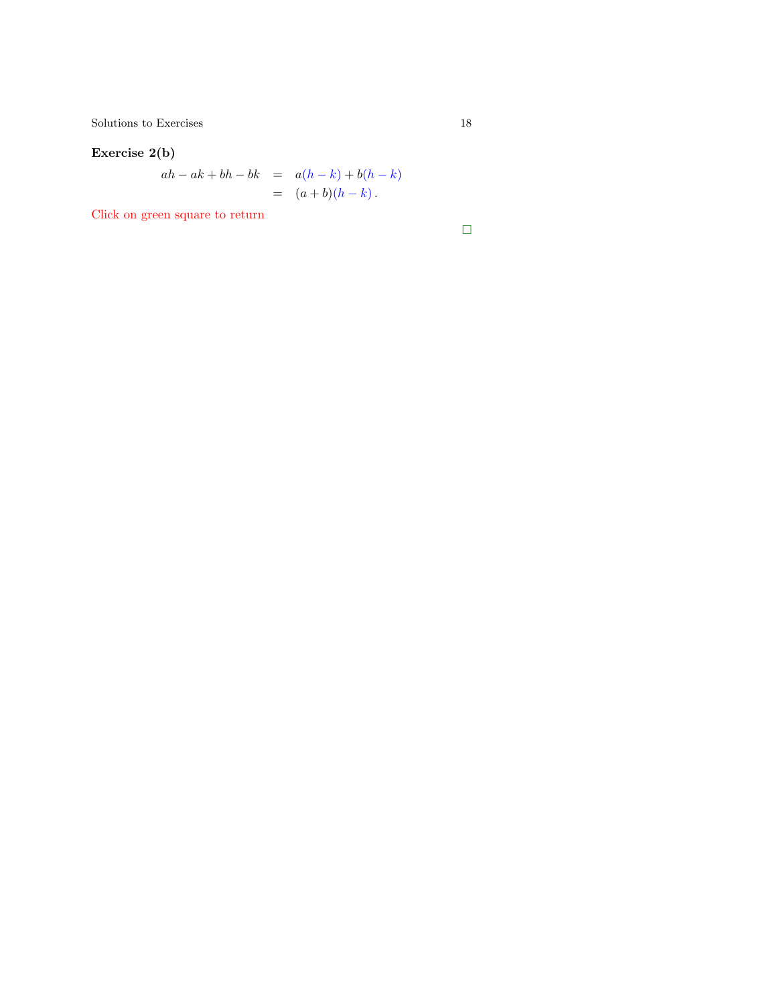#### <span id="page-17-0"></span>Exercise 2(b)

$$
ah - ak + bh - bk = a(h - k) + b(h - k) = (a + b)(h - k).
$$

Click on green square to return

 $\Box$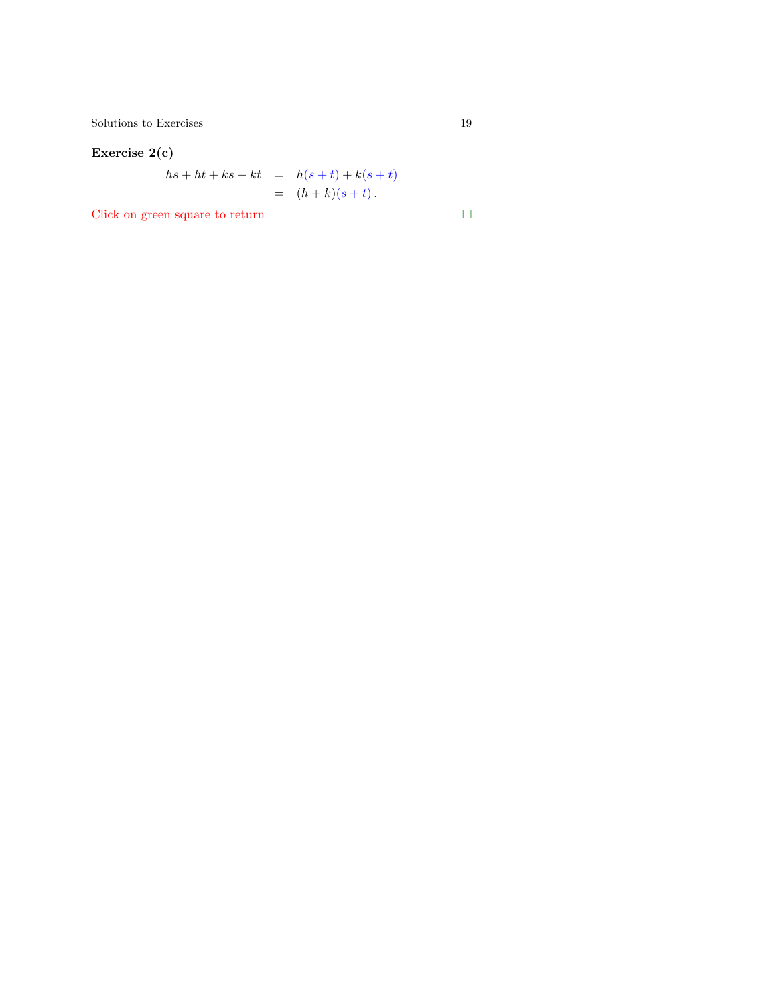$\begin{tabular}{c} Solutions to Exercises \\ \end{tabular} \begin{tabular}{c} \textbf{5} & \textbf{19} \\ \textbf{19} & \textbf{21} \\ \end{tabular}$ 

## Exercise 2(c)

$$
hs + ht + ks + kt = h(s + t) + k(s + t)
$$
  
=  $(h + k)(s + t)$ .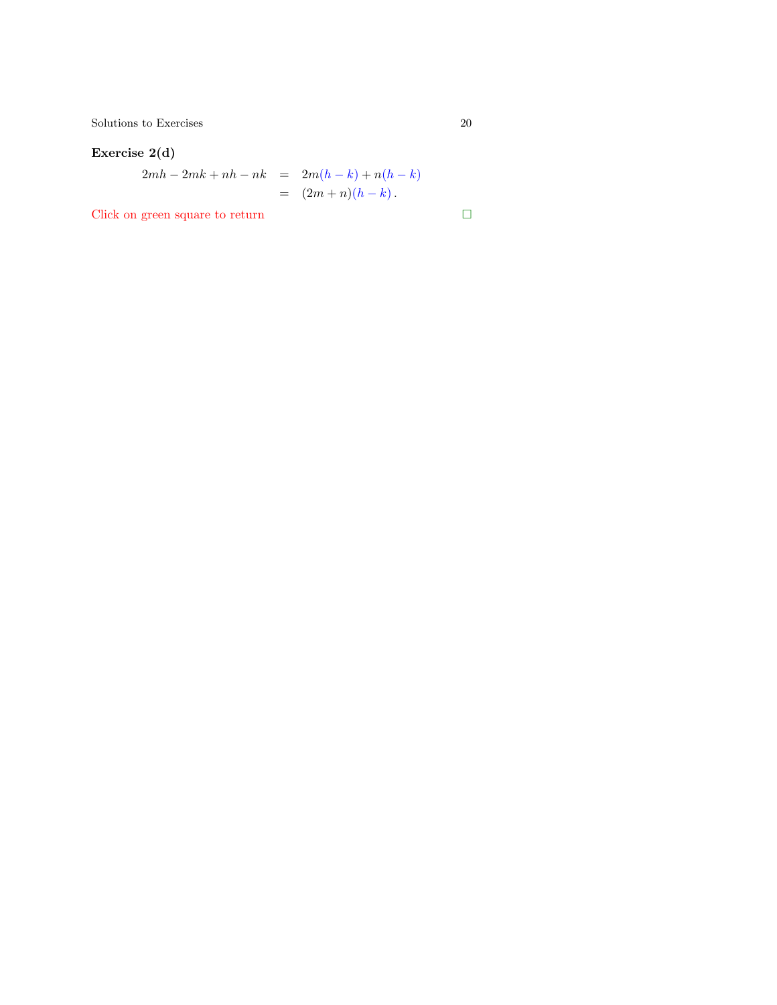<span id="page-19-0"></span> $\begin{tabular}{c} Solutions to Exercises \\ \end{tabular} \begin{tabular}{c} \multicolumn{2}{c}{\textbf{\textcolor{blue}{\bf\textcolor{blue}{\bf\textcolor{blue}{\bf\textcolor{blue}{\bf\textcolor{blue}{\bf\textcolor{blue}{\bf\textcolor{blue}{\bf\textcolor{blue}{\bf\textcolor{blue}{\bf\textcolor{blue}{\bf\textcolor{blue}{\bf\textcolor{blue}{\bf\textcolor{blue}{\bf\textcolor{blue}{\bf\textcolor{blue}{\bf\textcolor{blue}{\bf\textcolor{blue}{\bf\textcolor{blue}{\bf\textcolor{blue}{\bf\textcolor{blue}{\bf\textcolor{blue}{\bf\textcolor{blue}{\bf\textcolor{blue}{$ 

#### Exercise 2(d)

$$
2mh - 2mk + nh - nk = 2m(h - k) + n(h - k)
$$
  
=  $(2m + n)(h - k)$ .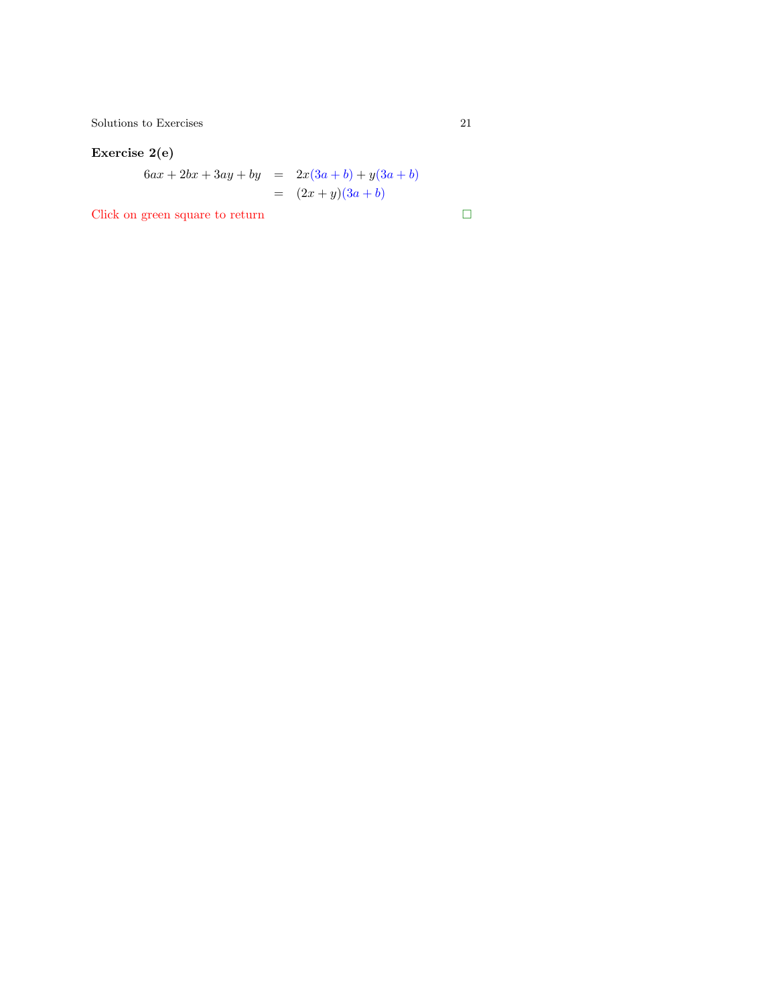$\begin{tabular}{c} Solutions to Exercises \\ 21 \end{tabular}$ 

## Exercise 2(e)

$$
6ax + 2bx + 3ay + by = 2x(3a + b) + y(3a + b)
$$
  
=  $(2x + y)(3a + b)$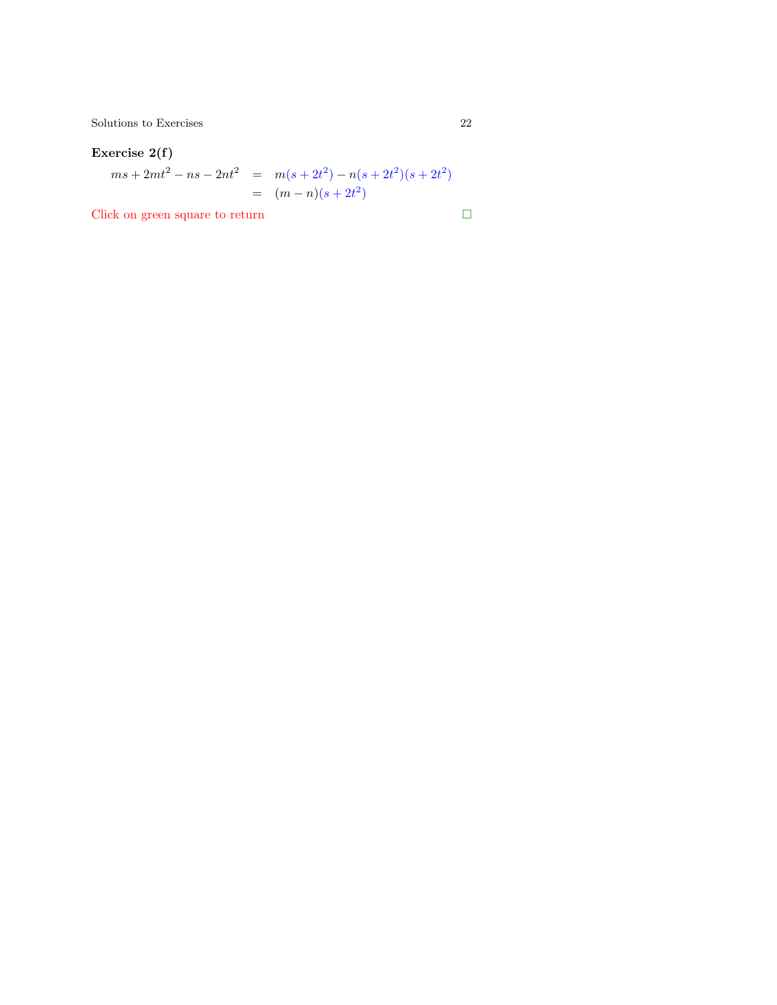#### Exercise 2(f)

$$
ms + 2mt2 - ns - 2nt2 = m(s + 2t2) - n(s + 2t2)(s + 2t2)
$$
  
= (m - n)(s + 2t<sup>2</sup>)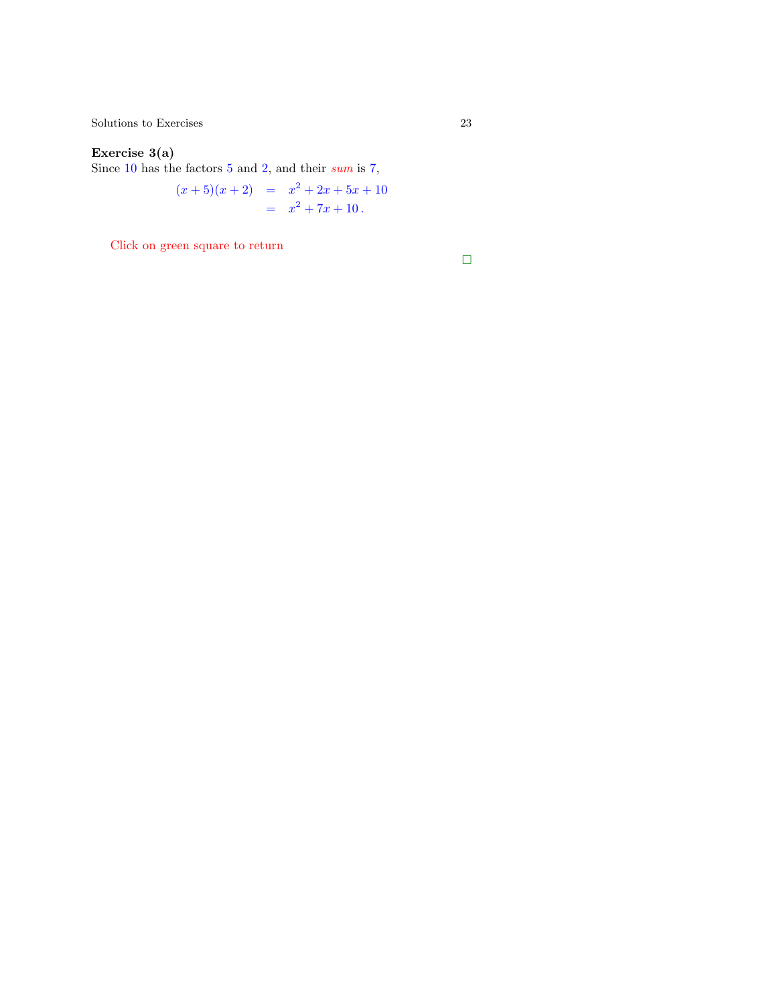#### Exercise 3(a)

Since 10 has the factors 5 and 2, and their sum is 7,

$$
(x+5)(x+2) = x2 + 2x + 5x + 10
$$
  
= x<sup>2</sup> + 7x + 10.

Click on green square to return

 $\Box$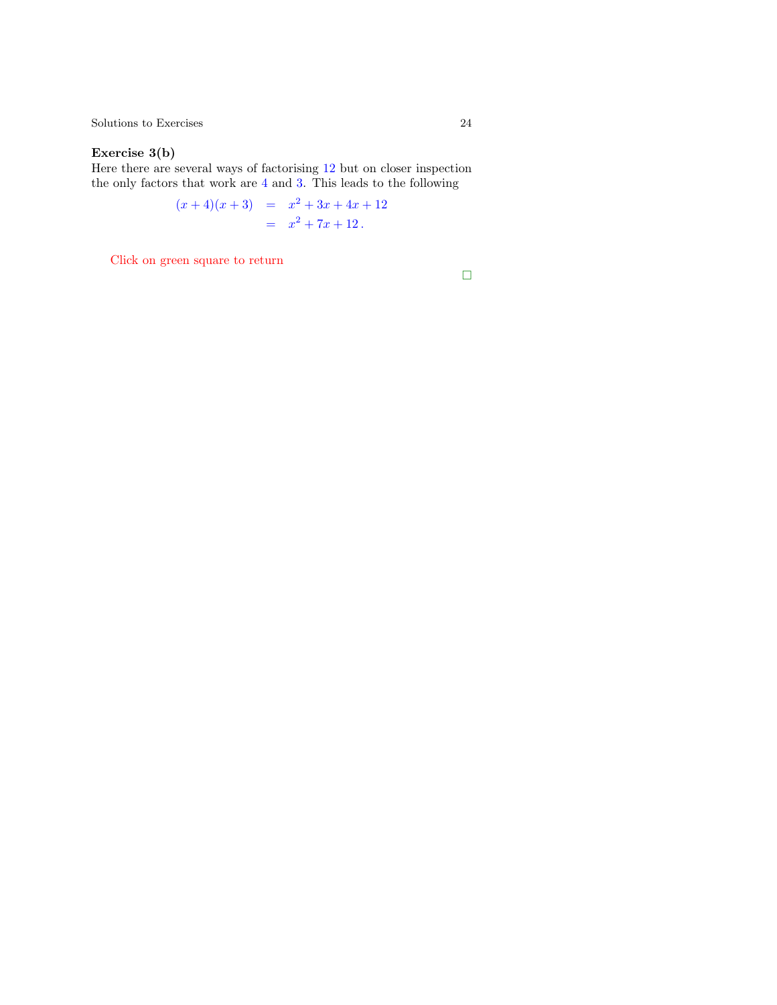#### Exercise 3(b)

Here there are several ways of factorising 12 but on cl[ose](#page-8-0)r inspection the only factors that work are 4 and 3. This leads to the following

$$
(x+4)(x+3) = x2 + 3x + 4x + 12
$$
  
= x<sup>2</sup> + 7x + 12.

Click on green square to return

 $\Box$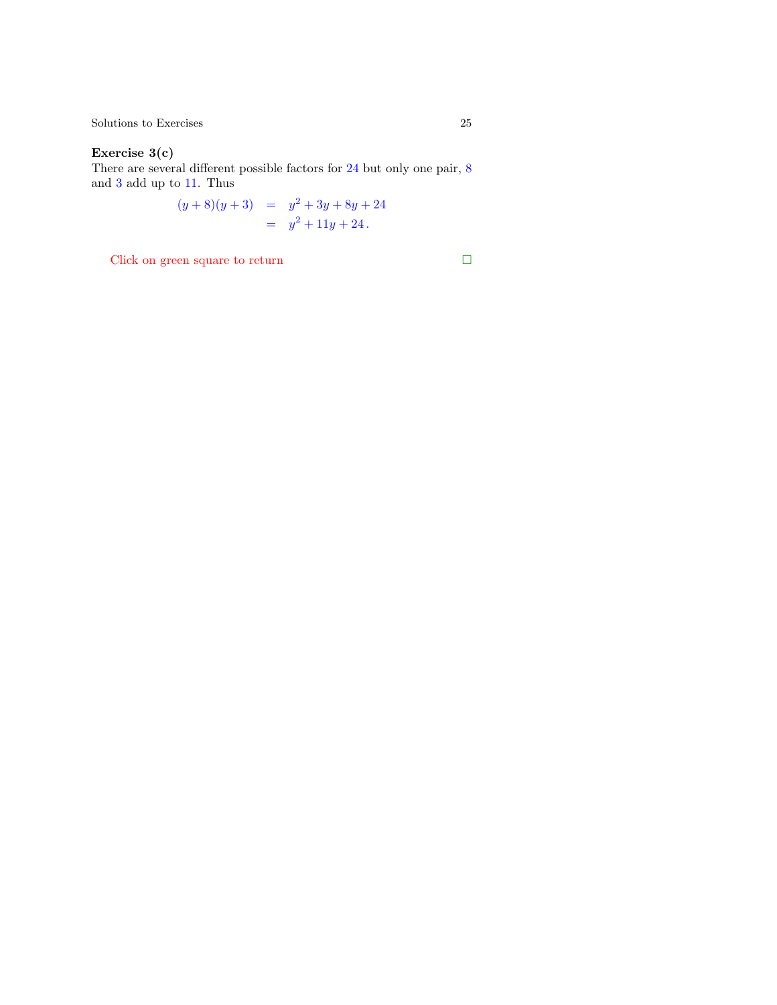#### Exercise 3(c)

There are several different possible factors for 24 but only one pair, 8 and 3 add up to 11. Thus

$$
(y+8)(y+3) = y2 + 3y + 8y + 24
$$
  
= y<sup>2</sup> + 11y + 24.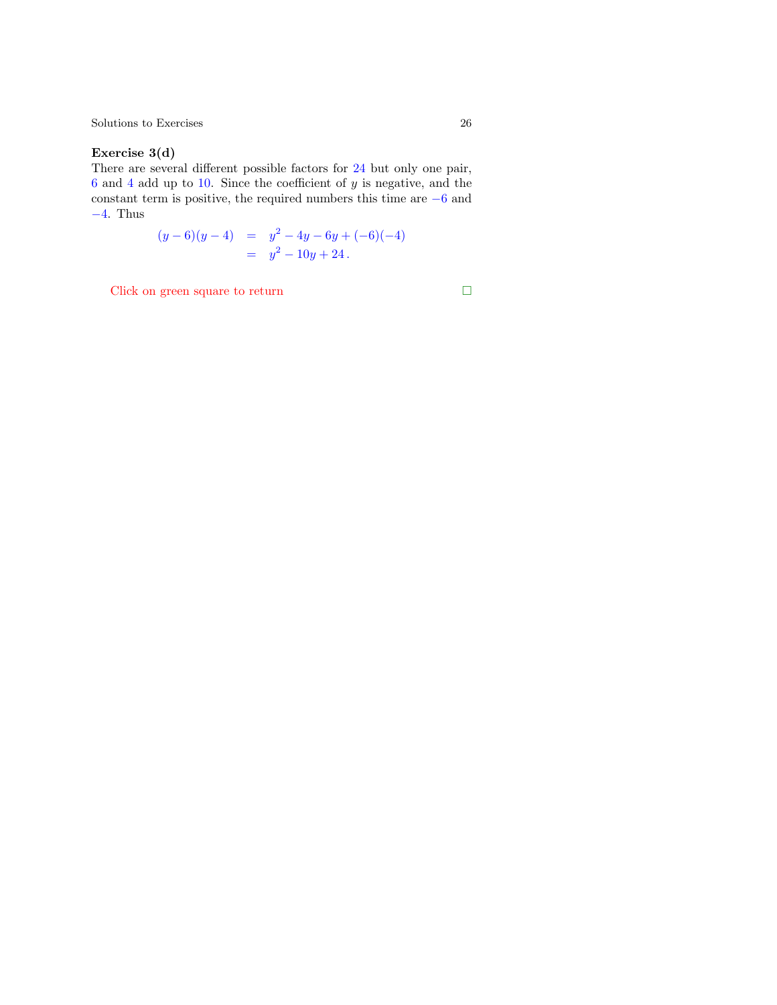#### <span id="page-25-0"></span>Exercise 3(d)

There are several different possible factors for 24 but only one pair,  $6$  and  $4$  add up to  $10$ . Since the coefficient of  $y$  is ne[gati](#page-8-0)ve, and the constant term is positive, the required numbers this time are −6 and −4. Thus

$$
(y-6)(y-4) = y2 - 4y - 6y + (-6)(-4)
$$
  
= y<sup>2</sup> - 10y + 24.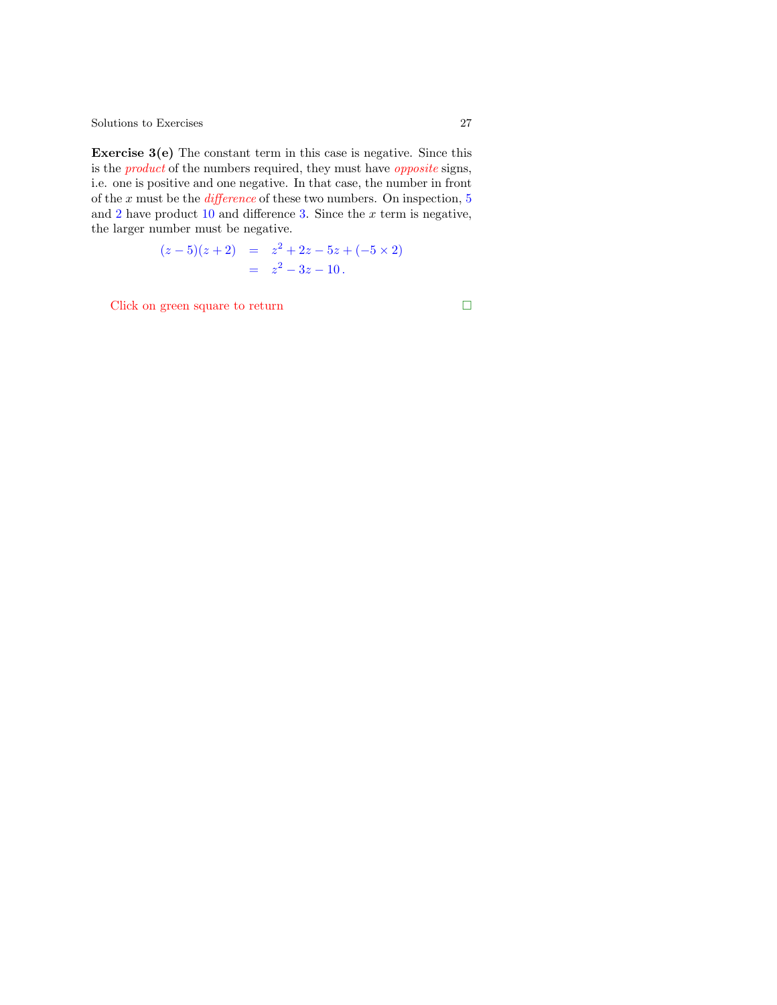**Exercise 3(e)** The constant term in this case is negative. Since this is the product of the numbers required, they must have opposite signs, i.e. one is positive and one negative. In that case, the number in front of the  $x$  must be the *difference* of these two numbers. O[n i](#page-8-0)nspection,  $5$ and  $2$  have product  $10$  and difference  $3$ . Since the  $x$  term is negative, the larger number must be negative.

$$
(z-5)(z+2) = z2 + 2z - 5z + (-5 \times 2)
$$
  
= z<sup>2</sup> - 3z - 10.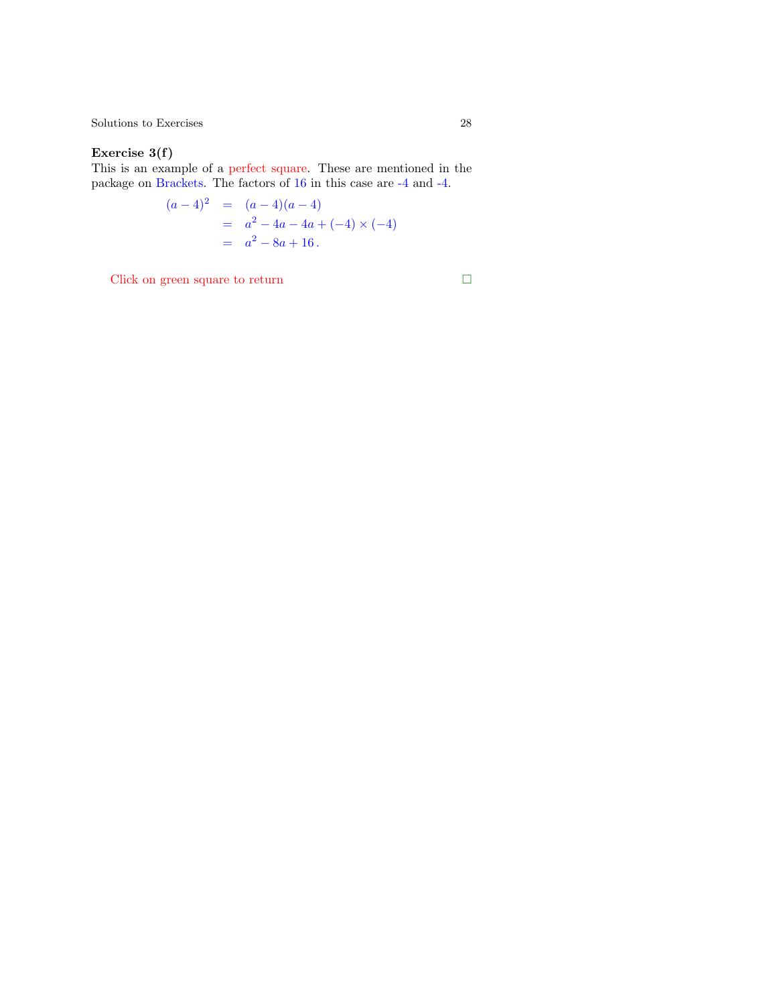#### <span id="page-27-0"></span>Exercise 3(f)

This is an example of a perfect square. These are me[nti](#page-8-0)oned in the package on Brackets. The factors of 16 in this case are -4 and -4.

$$
(a-4)^2 = (a-4)(a-4)
$$
  
=  $a^2 - 4a - 4a + (-4) \times (-4)$   
=  $a^2 - 8a + 16$ .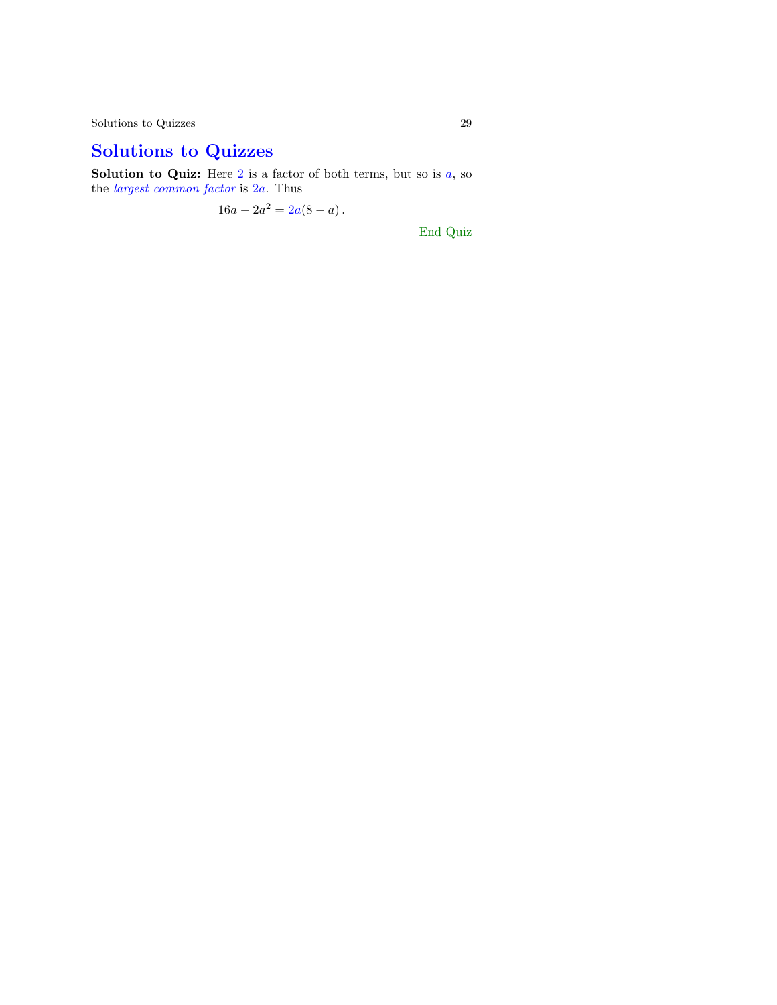Solutions to Quizzes 29

# Solutions to Quizzes

**Solution to Quiz:** Here 2 is a factor of both terms, but so is  $a$ , so the *largest common factor* is 2*a*. Thus

 $16a - 2a^2 = 2a(8 - a)$ .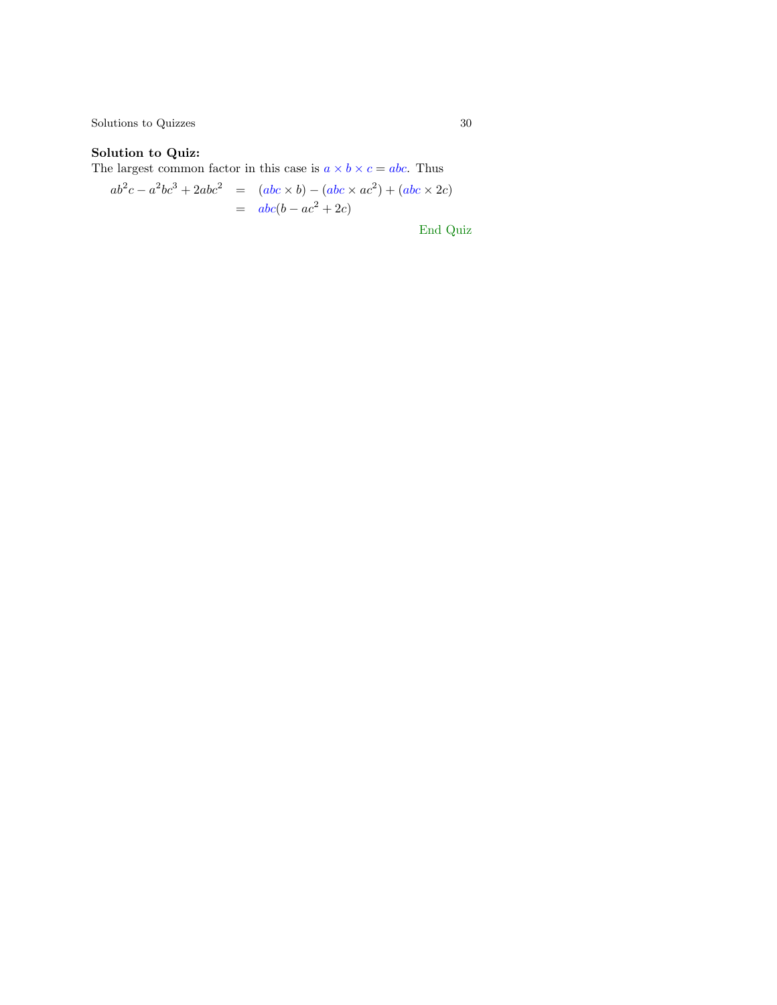$\begin{tabular}{c} Solutions to Quizes \end{tabular} \begin{tabular}{c} \multicolumn{2}{c}{\textbf{\textcolor{blue}{\bf\textcolor{blue}{\bf\textcolor{blue}{\bf\textcolor{blue}{\bf\textcolor{blue}{\bf\textcolor{blue}{\bf\textcolor{blue}{\bf\textcolor{blue}{\bf\textcolor{blue}{\bf\textcolor{blue}{\bf\textcolor{blue}{\bf\textcolor{blue}{\bf\textcolor{blue}{\bf\textcolor{blue}{\bf\textcolor{blue}{\bf\textcolor{blue}{\bf\textcolor{blue}{\bf\textcolor{blue}{\bf\textcolor{blue}{\bf\textcolor{blue}{\bf\textcolor{blue}{\bf\textcolor{blue}{\bf\textcolor{blue}{$ 

## Solution to Quiz:

The largest common factor in this case is  $a \times b \times c = abc$ . Thus

$$
ab2c - a2bc3 + 2abc2 = (abc \times b) - (abc \times ac2) + (abc \times 2c)
$$
  
= abc(b - ac<sup>2</sup> + 2c)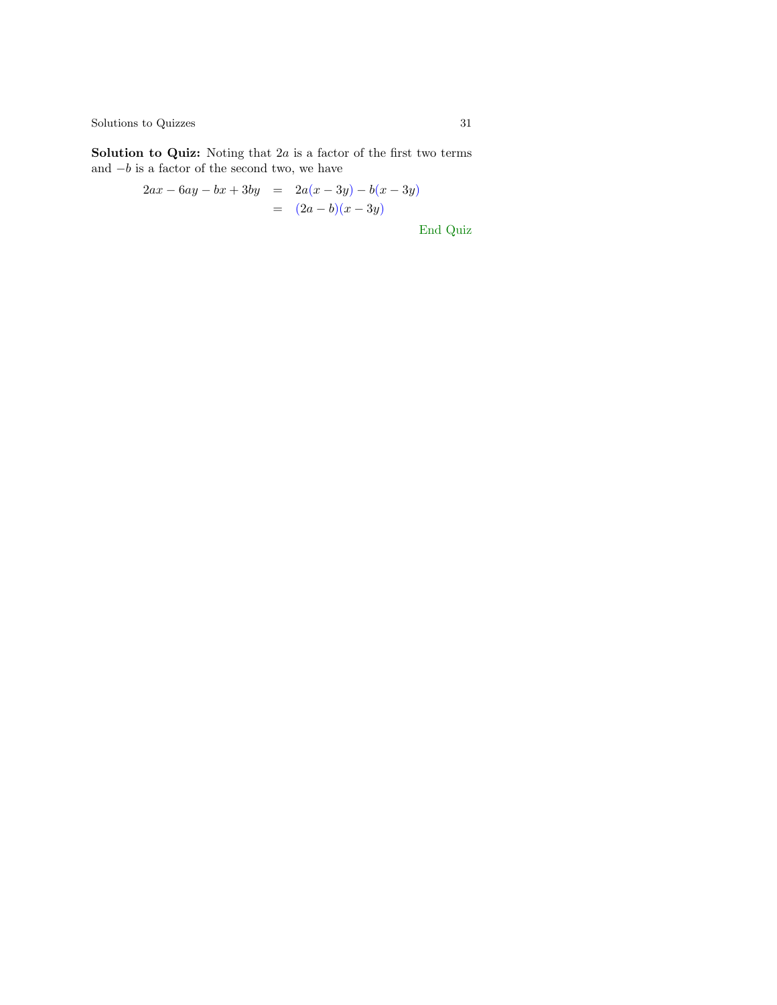$\begin{minipage}{.4\linewidth} \textbf{Solutions to Quizzes} \end{minipage}$ 

**Solution to Quiz:** Noting that  $2a$  is a factor of the first two terms and  $-b$  is a factor of the second two, we have

$$
2ax - 6ay - bx + 3by = 2a(x - 3y) - b(x - 3y)
$$
  
=  $(2a - b)(x - 3y)$